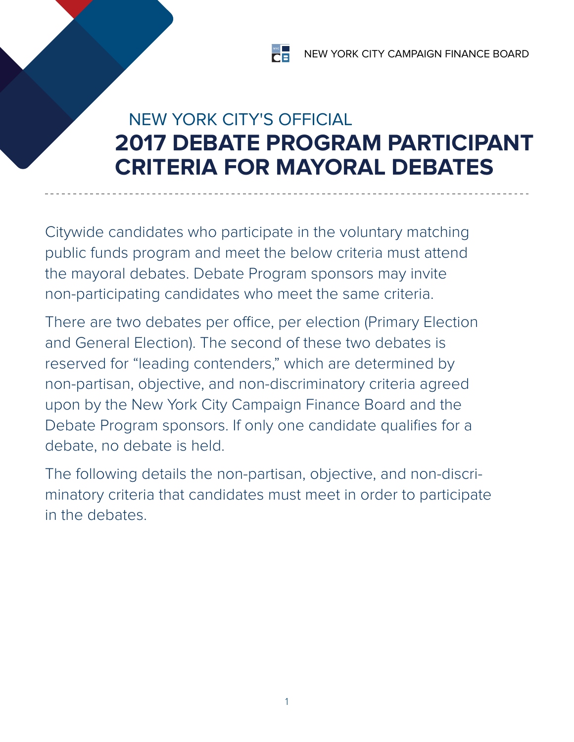# NEW YORK CITY'S OFFICIAL **2017 DEBATE PROGRAM PARTICIPANT CRITERIA FOR MAYORAL DEBATES**

Citywide candidates who participate in the voluntary matching public funds program and meet the below criteria must attend the mayoral debates. Debate Program sponsors may invite non‑participating candidates who meet the same criteria.

There are two debates per office, per election (Primary Election and General Election). The second of these two debates is reserved for "leading contenders," which are determined by non‑partisan, objective, and non-discriminatory criteria agreed upon by the New York City Campaign Finance Board and the Debate Program sponsors. If only one candidate qualifies for a debate, no debate is held.

The following details the non-partisan, objective, and non-discriminatory criteria that candidates must meet in order to participate in the debates.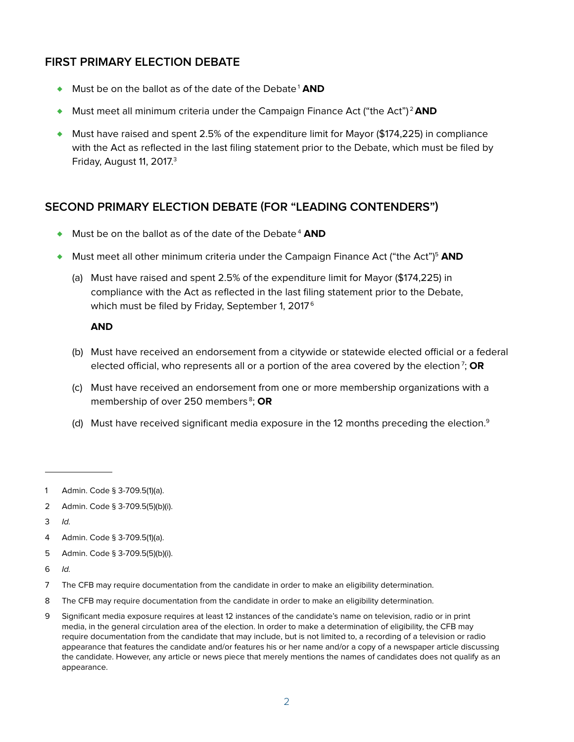# **First Primary Election Debate**

- ◆ Must be on the ballot as of the date of the Debate<sup>1</sup> AND
- ♦ Must meet all minimum criteria under the Campaign Finance Act ("the Act") <sup>2</sup>**AND**
- $\bullet$  Must have raised and spent 2.5% of the expenditure limit for Mayor (\$174,225) in compliance with the Act as reflected in the last filing statement prior to the Debate, which must be filed by Friday, August 11, 2017.<sup>3</sup>

#### **Second Primary Election Debate (for "Leading Contenders")**

- ◆ Must be on the ballot as of the date of the Debate<sup>4</sup> AND
- ♦ Must meet all other minimum criteria under the Campaign Finance Act ("the Act")5 **AND**
	- (a) Must have raised and spent 2.5% of the expenditure limit for Mayor (\$174,225) in compliance with the Act as reflected in the last filing statement prior to the Debate, which must be filed by Friday, September 1, 2017<sup>6</sup>

#### **AND**

- (b) Must have received an endorsement from a citywide or statewide elected official or a federal elected official, who represents all or a portion of the area covered by the election<sup>7</sup>; **OR**
- (c) Must have received an endorsement from one or more membership organizations with a membership of over 250 members<sup>8</sup>; OR
- (d) Must have received significant media exposure in the 12 months preceding the election.<sup>9</sup>

3 Id.

- 5 Admin. Code § 3-709.5(5)(b)(i).
- 6 Id.
- 7 The CFB may require documentation from the candidate in order to make an eligibility determination.
- 8 The CFB may require documentation from the candidate in order to make an eligibility determination.
- 9 Significant media exposure requires at least 12 instances of the candidate's name on television, radio or in print media, in the general circulation area of the election. In order to make a determination of eligibility, the CFB may require documentation from the candidate that may include, but is not limited to, a recording of a television or radio appearance that features the candidate and/or features his or her name and/or a copy of a newspaper article discussing the candidate. However, any article or news piece that merely mentions the names of candidates does not qualify as an appearance.

<sup>1</sup> Admin. Code § 3-709.5(1)(a).

<sup>2</sup> Admin. Code § 3-709.5(5)(b)(i).

<sup>4</sup> Admin. Code § 3-709.5(1)(a).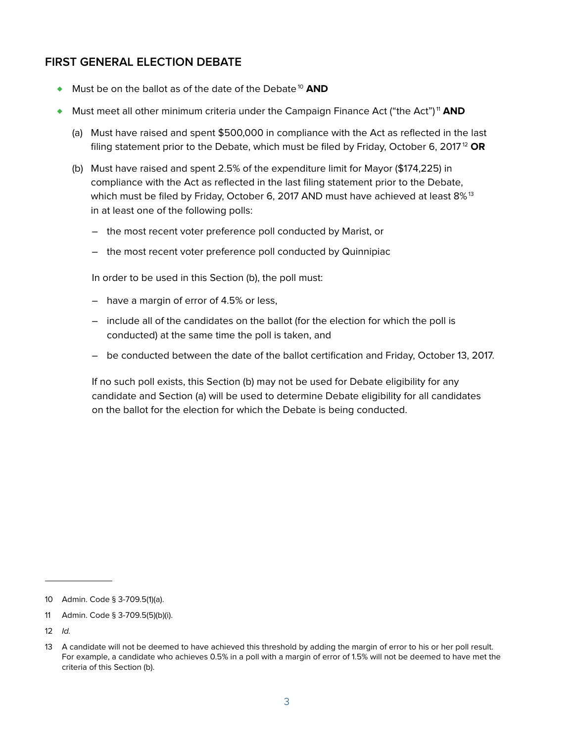### **First General Election Debate**

- ◆ Must be on the ballot as of the date of the Debate<sup>10</sup> AND
- ♦ Must meet all other minimum criteria under the Campaign Finance Act ("the Act") <sup>11</sup> **AND**
	- (a) Must have raised and spent \$500,000 in compliance with the Act as reflected in the last filing statement prior to the Debate, which must be filed by Friday, October 6, 201712 **OR**
	- (b) Must have raised and spent 2.5% of the expenditure limit for Mayor (\$174,225) in compliance with the Act as reflected in the last filing statement prior to the Debate, which must be filed by Friday, October 6, 2017 AND must have achieved at least 8%<sup>13</sup> in at least one of the following polls:
		- the most recent voter preference poll conducted by Marist, or
		- the most recent voter preference poll conducted by Quinnipiac

In order to be used in this Section (b), the poll must:

- have a margin of error of 4.5% or less,
- include all of the candidates on the ballot (for the election for which the poll is conducted) at the same time the poll is taken, and
- be conducted between the date of the ballot certification and Friday, October 13, 2017.

If no such poll exists, this Section (b) may not be used for Debate eligibility for any candidate and Section (a) will be used to determine Debate eligibility for all candidates on the ballot for the election for which the Debate is being conducted.

<sup>10</sup> Admin. Code § 3-709.5(1)(a).

<sup>11</sup> Admin. Code § 3-709.5(5)(b)(i).

<sup>12</sup> Id.

<sup>13</sup> A candidate will not be deemed to have achieved this threshold by adding the margin of error to his or her poll result. For example, a candidate who achieves 0.5% in a poll with a margin of error of 1.5% will not be deemed to have met the criteria of this Section (b).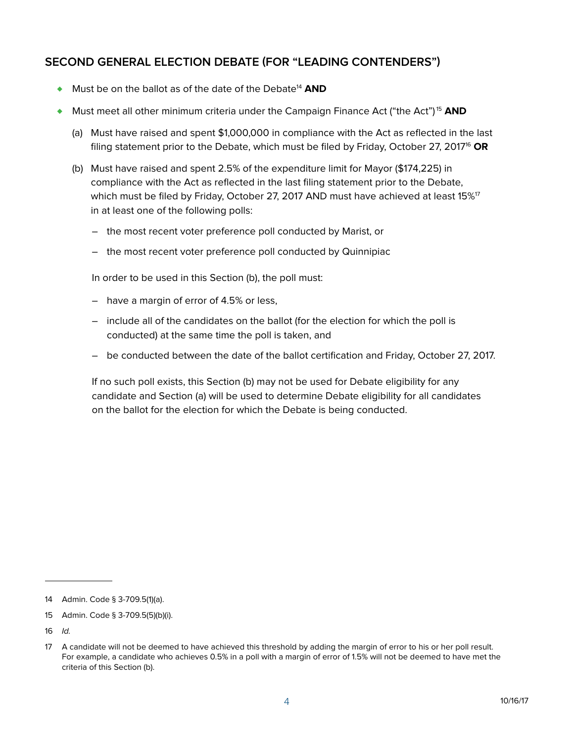# **Second General Election Debate (for "Leading Contenders")**

- ♦ Must be on the ballot as of the date of the Debate14 **AND**
- ♦ Must meet all other minimum criteria under the Campaign Finance Act ("the Act") <sup>15</sup> **AND**
	- (a) Must have raised and spent \$1,000,000 in compliance with the Act as reflected in the last filing statement prior to the Debate, which must be filed by Friday, October 27, 201716 **OR**
	- (b) Must have raised and spent 2.5% of the expenditure limit for Mayor (\$174,225) in compliance with the Act as reflected in the last filing statement prior to the Debate, which must be filed by Friday, October 27, 2017 AND must have achieved at least 15%<sup>17</sup> in at least one of the following polls:
		- the most recent voter preference poll conducted by Marist, or
		- the most recent voter preference poll conducted by Quinnipiac

In order to be used in this Section (b), the poll must:

- have a margin of error of 4.5% or less,
- include all of the candidates on the ballot (for the election for which the poll is conducted) at the same time the poll is taken, and
- be conducted between the date of the ballot certification and Friday, October 27, 2017.

If no such poll exists, this Section (b) may not be used for Debate eligibility for any candidate and Section (a) will be used to determine Debate eligibility for all candidates on the ballot for the election for which the Debate is being conducted.

<sup>14</sup> Admin. Code § 3-709.5(1)(a).

<sup>15</sup> Admin. Code § 3-709.5(5)(b)(i).

<sup>16</sup> Id.

<sup>17</sup> A candidate will not be deemed to have achieved this threshold by adding the margin of error to his or her poll result. For example, a candidate who achieves 0.5% in a poll with a margin of error of 1.5% will not be deemed to have met the criteria of this Section (b).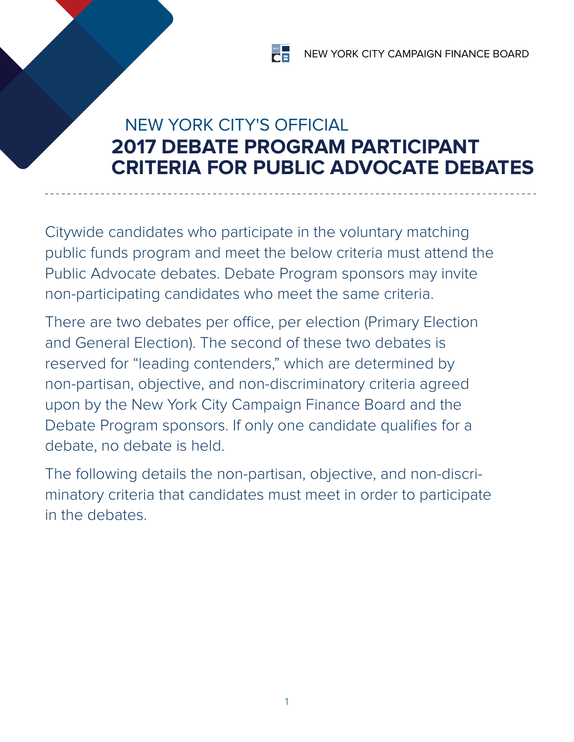# NEW YORK CITY'S OFFICIAL **2017 DEBATE PROGRAM PARTICIPANT CRITERIA FOR PUBLIC ADVOCATE DEBATES**

Citywide candidates who participate in the voluntary matching public funds program and meet the below criteria must attend the Public Advocate debates. Debate Program sponsors may invite non-participating candidates who meet the same criteria.

There are two debates per office, per election (Primary Election and General Election). The second of these two debates is reserved for "leading contenders," which are determined by non-partisan, objective, and non-discriminatory criteria agreed upon by the New York City Campaign Finance Board and the Debate Program sponsors. If only one candidate qualifies for a debate, no debate is held.

The following details the non-partisan, objective, and non-discriminatory criteria that candidates must meet in order to participate in the debates.

1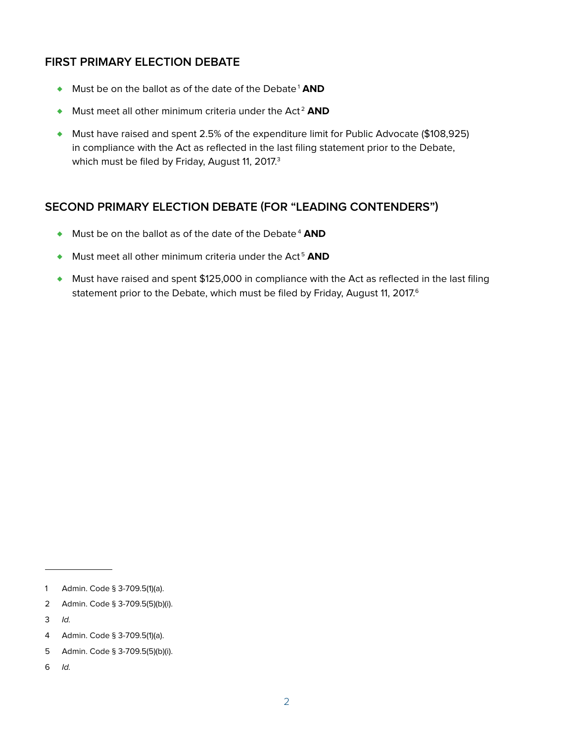# **First Primary Election Debate**

- ♦ Must be on the ballot as of the date of the Debate1 **AND**
- ♦ Must meet all other minimum criteria under the Act <sup>2</sup> **AND**
- ♦ Must have raised and spent 2.5% of the expenditure limit for Public Advocate (\$108,925) in compliance with the Act as reflected in the last filing statement prior to the Debate, which must be filed by Friday, August 11, 2017.<sup>3</sup>

#### **Second Primary Election Debate (for "Leading Contenders")**

- ◆ Must be on the ballot as of the date of the Debate<sup>4</sup> AND
- ♦ Must meet all other minimum criteria under the Act <sup>5</sup> **AND**
- ♦ Must have raised and spent \$125,000 in compliance with the Act as reflected in the last filing statement prior to the Debate, which must be filed by Friday, August 11, 2017.<sup>6</sup>

<sup>1</sup> Admin. Code § 3-709.5(1)(a).

<sup>2</sup> Admin. Code § 3-709.5(5)(b)(i).

<sup>3</sup> Id.

<sup>4</sup> Admin. Code § 3-709.5(1)(a).

<sup>5</sup> Admin. Code § 3-709.5(5)(b)(i).

<sup>6</sup> Id.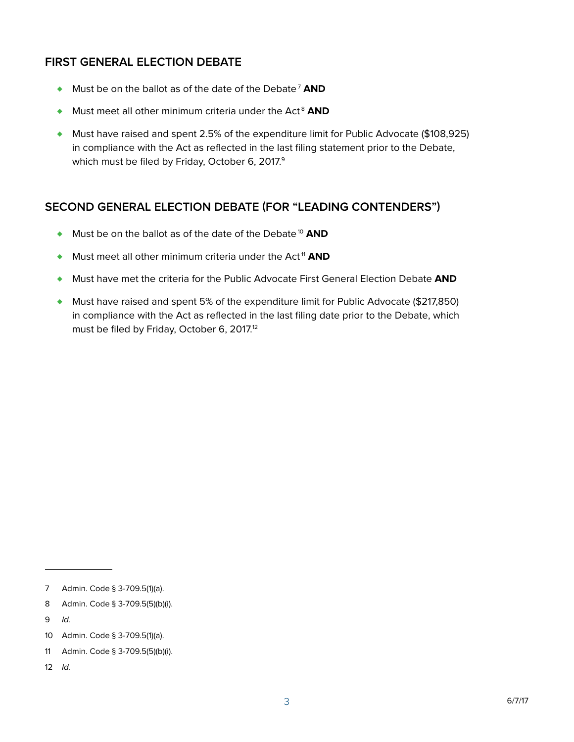# **First General Election Debate**

- ♦ Must be on the ballot as of the date of the Debate7 **AND**
- ♦ Must meet all other minimum criteria under the Act <sup>8</sup> **AND**
- ♦ Must have raised and spent 2.5% of the expenditure limit for Public Advocate (\$108,925) in compliance with the Act as reflected in the last filing statement prior to the Debate, which must be filed by Friday, October 6, 2017.<sup>9</sup>

# **Second General Election Debate (for "Leading Contenders")**

- ◆ Must be on the ballot as of the date of the Debate<sup>10</sup> AND
- ♦ Must meet all other minimum criteria under the Act <sup>11</sup> **AND**
- ♦ Must have met the criteria for the Public Advocate First General Election Debate **AND**
- $\blacklozenge$  Must have raised and spent 5% of the expenditure limit for Public Advocate (\$217,850) in compliance with the Act as reflected in the last filing date prior to the Debate, which must be filed by Friday, October 6, 2017.<sup>12</sup>

<sup>7</sup> Admin. Code § 3-709.5(1)(a).

<sup>8</sup> Admin. Code § 3-709.5(5)(b)(i).

<sup>9</sup> Id.

<sup>10</sup> Admin. Code § 3-709.5(1)(a).

<sup>11</sup> Admin. Code § 3-709.5(5)(b)(i).

<sup>12</sup> Id.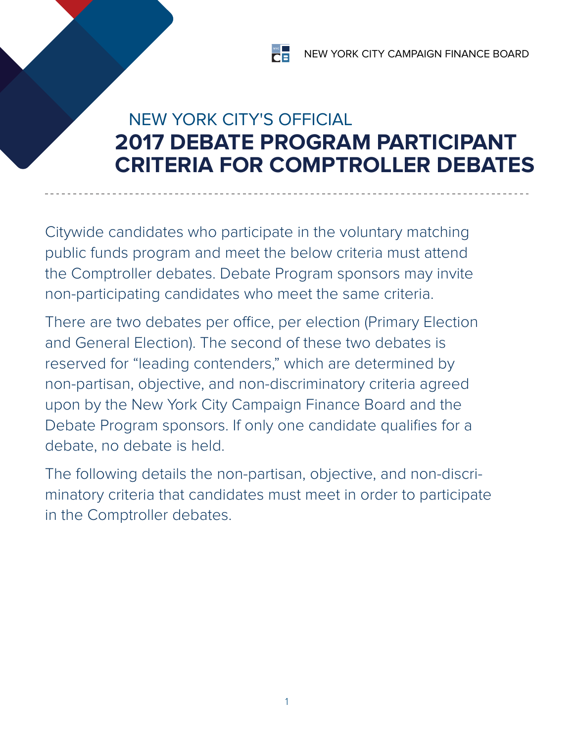# NEW YORK CITY'S OFFICIAL **2017 DEBATE PROGRAM PARTICIPANT CRITERIA FOR COMPTROLLER DEBATES**

Citywide candidates who participate in the voluntary matching public funds program and meet the below criteria must attend the Comptroller debates. Debate Program sponsors may invite non‑participating candidates who meet the same criteria.

There are two debates per office, per election (Primary Election and General Election). The second of these two debates is reserved for "leading contenders," which are determined by non‑partisan, objective, and non-discriminatory criteria agreed upon by the New York City Campaign Finance Board and the Debate Program sponsors. If only one candidate qualifies for a debate, no debate is held.

The following details the non-partisan, objective, and non-discriminatory criteria that candidates must meet in order to participate in the Comptroller debates.

1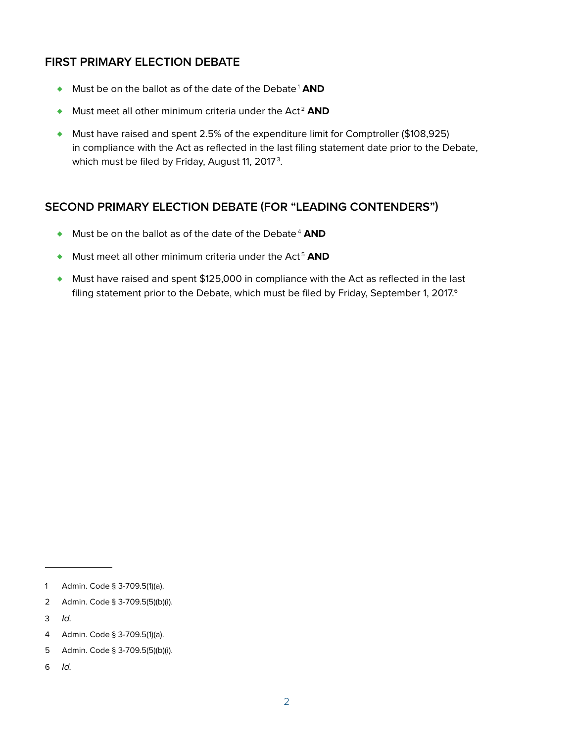# **First Primary Election Debate**

- ♦ Must be on the ballot as of the date of the Debate1 **AND**
- ♦ Must meet all other minimum criteria under the Act <sup>2</sup> **AND**
- ♦ Must have raised and spent 2.5% of the expenditure limit for Comptroller (\$108,925) in compliance with the Act as reflected in the last filing statement date prior to the Debate, which must be filed by Friday, August 11, 2017 $^{\rm 3}$ .

#### **Second Primary Election Debate (for "Leading Contenders")**

- ◆ Must be on the ballot as of the date of the Debate<sup>4</sup> AND
- ♦ Must meet all other minimum criteria under the Act <sup>5</sup> **AND**
- ♦ Must have raised and spent \$125,000 in compliance with the Act as reflected in the last filing statement prior to the Debate, which must be filed by Friday, September 1, 2017.<sup>6</sup>

6 Id.

<sup>1</sup> Admin. Code § 3-709.5(1)(a).

<sup>2</sup> Admin. Code § 3-709.5(5)(b)(i).

<sup>3</sup> Id.

<sup>4</sup> Admin. Code § 3-709.5(1)(a).

<sup>5</sup> Admin. Code § 3-709.5(5)(b)(i).